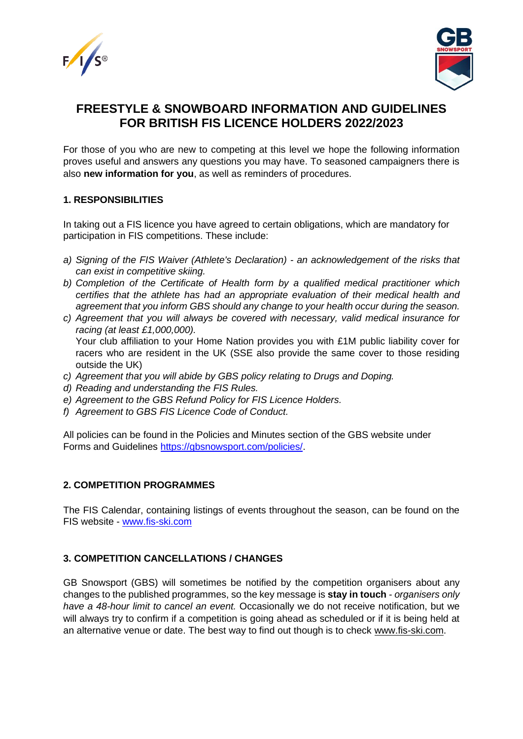



# **FREESTYLE & SNOWBOARD INFORMATION AND GUIDELINES FOR BRITISH FIS LICENCE HOLDERS 2022/2023**

For those of you who are new to competing at this level we hope the following information proves useful and answers any questions you may have. To seasoned campaigners there is also **new information for you**, as well as reminders of procedures.

#### **1. RESPONSIBILITIES**

In taking out a FIS licence you have agreed to certain obligations, which are mandatory for participation in FIS competitions. These include:

- *a) Signing of the FIS Waiver (Athlete's Declaration) - an acknowledgement of the risks that can exist in competitive skiing.*
- *b) Completion of the Certificate of Health form by a qualified medical practitioner which certifies that the athlete has had an appropriate evaluation of their medical health and agreement that you inform GBS should any change to your health occur during the season.*
- *c) Agreement that you will always be covered with necessary, valid medical insurance for racing (at least £1,000,000).* Your club affiliation to your Home Nation provides you with £1M public liability cover for racers who are resident in the UK (SSE also provide the same cover to those residing outside the UK)
- *c) Agreement that you will abide by GBS policy relating to Drugs and Doping.*
- *d) Reading and understanding the FIS Rules.*
- *e) Agreement to the GBS Refund Policy for FIS Licence Holders.*
- *f) Agreement to GBS FIS Licence Code of Conduct.*

All policies can be found in the Policies and Minutes section of the GBS website under Forms and Guidelines [https://gbsnowsport.com/policies/.](https://gbsnowsport.com/policies/)

#### **2. COMPETITION PROGRAMMES**

The FIS Calendar, containing listings of events throughout the season, can be found on the FIS website - [www.fis-ski.com](http://www.fis-ski.com/)

### **3. COMPETITION CANCELLATIONS / CHANGES**

GB Snowsport (GBS) will sometimes be notified by the competition organisers about any changes to the published programmes, so the key message is **stay in touch** - *organisers only have a 48-hour limit to cancel an event.* Occasionally we do not receive notification, but we will always try to confirm if a competition is going ahead as scheduled or if it is being held at an alternative venue or date. The best way to find out though is to check [www.fis-ski.com.](http://www.fis-ski.com/)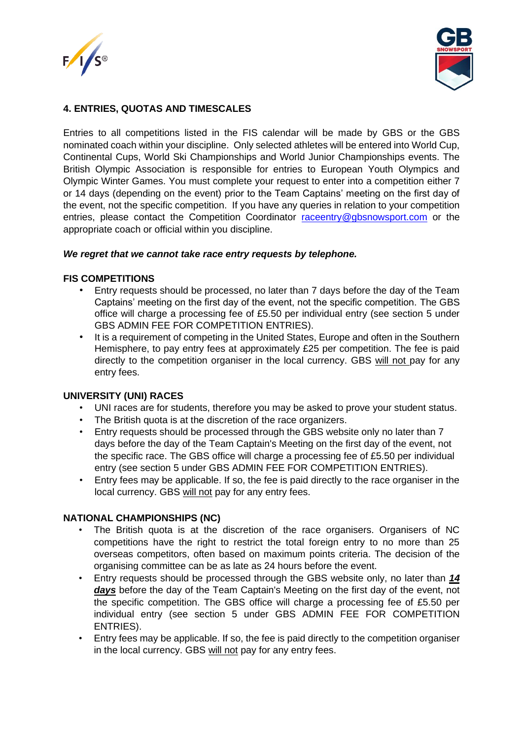



### **4. ENTRIES, QUOTAS AND TIMESCALES**

Entries to all competitions listed in the FIS calendar will be made by GBS or the GBS nominated coach within your discipline. Only selected athletes will be entered into World Cup, Continental Cups, World Ski Championships and World Junior Championships events. The British Olympic Association is responsible for entries to European Youth Olympics and Olympic Winter Games. You must complete your request to enter into a competition either 7 or 14 days (depending on the event) prior to the Team Captains' meeting on the first day of the event, not the specific competition. If you have any queries in relation to your competition entries, please contact the Competition Coordinator [raceentry@gbsnowsport.com](mailto:raceentry@gbsnowsport.com) or the appropriate coach or official within you discipline.

#### *We regret that we cannot take race entry requests by telephone.*

#### **FIS COMPETITIONS**

- Entry requests should be processed, no later than 7 days before the day of the Team Captains' meeting on the first day of the event, not the specific competition. The GBS office will charge a processing fee of £5.50 per individual entry (see section 5 under GBS ADMIN FEE FOR COMPETITION ENTRIES).
- It is a requirement of competing in the United States, Europe and often in the Southern Hemisphere, to pay entry fees at approximately £25 per competition. The fee is paid directly to the competition organiser in the local currency. GBS will not pay for any entry fees.

#### **UNIVERSITY (UNI) RACES**

- UNI races are for students, therefore you may be asked to prove your student status.
- The British quota is at the discretion of the race organizers.
- Entry requests should be processed through the GBS website only no later than 7 days before the day of the Team Captain's Meeting on the first day of the event, not the specific race. The GBS office will charge a processing fee of £5.50 per individual entry (see section 5 under GBS ADMIN FEE FOR COMPETITION ENTRIES).
- Entry fees may be applicable. If so, the fee is paid directly to the race organiser in the local currency. GBS will not pay for any entry fees.

#### **NATIONAL CHAMPIONSHIPS (NC)**

- The British quota is at the discretion of the race organisers. Organisers of NC competitions have the right to restrict the total foreign entry to no more than 25 overseas competitors, often based on maximum points criteria. The decision of the organising committee can be as late as 24 hours before the event.
- Entry requests should be processed through the GBS website only, no later than *14 days* before the day of the Team Captain's Meeting on the first day of the event, not the specific competition. The GBS office will charge a processing fee of £5.50 per individual entry (see section 5 under GBS ADMIN FEE FOR COMPETITION ENTRIES).
- Entry fees may be applicable. If so, the fee is paid directly to the competition organiser in the local currency. GBS will not pay for any entry fees.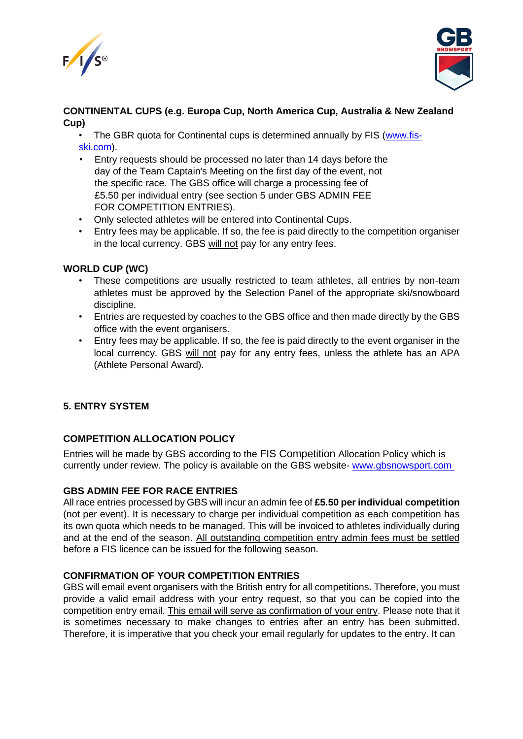



### **CONTINENTAL CUPS (e.g. Europa Cup, North America Cup, Australia & New Zealand Cup)**

• The GBR quota for Continental cups is determined annually by FIS [\(www.fis](http://www.fis-ski.com/)[ski.com\)](http://www.fis-ski.com/).

- Entry requests should be processed no later than 14 days before the day of the Team Captain's Meeting on the first day of the event, not the specific race. The GBS office will charge a processing fee of £5.50 per individual entry (see section 5 under GBS ADMIN FEE FOR COMPETITION ENTRIES).
- Only selected athletes will be entered into Continental Cups.
- Entry fees may be applicable. If so, the fee is paid directly to the competition organiser in the local currency. GBS will not pay for any entry fees.

#### **WORLD CUP (WC)**

- These competitions are usually restricted to team athletes, all entries by non-team athletes must be approved by the Selection Panel of the appropriate ski/snowboard discipline.
- Entries are requested by coaches to the GBS office and then made directly by the GBS office with the event organisers.
- Entry fees may be applicable. If so, the fee is paid directly to the event organiser in the local currency. GBS will not pay for any entry fees, unless the athlete has an APA (Athlete Personal Award).

### **5. ENTRY SYSTEM**

### **COMPETITION ALLOCATION POLICY**

Entries will be made by GBS according to the FIS Competition Allocation Policy which is currently under review. The policy is available on the GBS website- [www.gbsnowsport.com](http://www.gbsnowsport.com./)

#### **GBS ADMIN FEE FOR RACE ENTRIES**

All race entries processed by GBS will incur an admin fee of **£5.50 per individual competition** (not per event). It is necessary to charge per individual competition as each competition has its own quota which needs to be managed. This will be invoiced to athletes individually during and at the end of the season. All outstanding competition entry admin fees must be settled before a FIS licence can be issued for the following season.

### **CONFIRMATION OF YOUR COMPETITION ENTRIES**

GBS will email event organisers with the British entry for all competitions. Therefore, you must provide a valid email address with your entry request, so that you can be copied into the competition entry email. This email will serve as confirmation of your entry. Please note that it is sometimes necessary to make changes to entries after an entry has been submitted. Therefore, it is imperative that you check your email regularly for updates to the entry. It can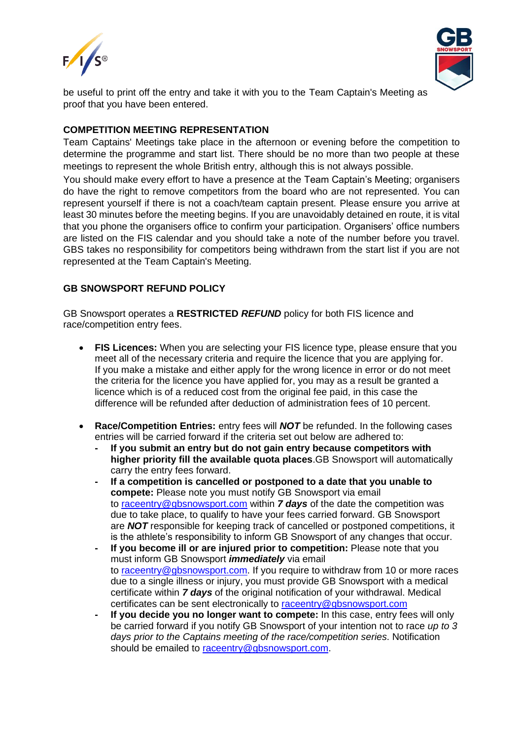



be useful to print off the entry and take it with you to the Team Captain's Meeting as proof that you have been entered.

#### **COMPETITION MEETING REPRESENTATION**

Team Captains' Meetings take place in the afternoon or evening before the competition to determine the programme and start list. There should be no more than two people at these meetings to represent the whole British entry, although this is not always possible.

You should make every effort to have a presence at the Team Captain's Meeting; organisers do have the right to remove competitors from the board who are not represented. You can represent yourself if there is not a coach/team captain present. Please ensure you arrive at least 30 minutes before the meeting begins. If you are unavoidably detained en route, it is vital that you phone the organisers office to confirm your participation. Organisers' office numbers are listed on the FIS calendar and you should take a note of the number before you travel. GBS takes no responsibility for competitors being withdrawn from the start list if you are not represented at the Team Captain's Meeting.

### **GB SNOWSPORT REFUND POLICY**

GB Snowsport operates a **RESTRICTED** *REFUND* policy for both FIS licence and race/competition entry fees.

- **FIS Licences:** When you are selecting your FIS licence type, please ensure that you meet all of the necessary criteria and require the licence that you are applying for. If you make a mistake and either apply for the wrong licence in error or do not meet the criteria for the licence you have applied for, you may as a result be granted a licence which is of a reduced cost from the original fee paid, in this case the difference will be refunded after deduction of administration fees of 10 percent.
- **Race/Competition Entries:** entry fees will *NOT* be refunded. In the following cases entries will be carried forward if the criteria set out below are adhered to:
	- **- If you submit an entry but do not gain entry because competitors with higher priority fill the available quota places**.GB Snowsport will automatically carry the entry fees forward.
	- **- If a competition is cancelled or postponed to a date that you unable to compete:** Please note you must notify GB Snowsport via email to [raceentry@gbsnowsport.com](mailto:raceentry@gbsnowsport.com) within *7 days* of the date the competition was due to take place, to qualify to have your fees carried forward. GB Snowsport are *NOT* responsible for keeping track of cancelled or postponed competitions, it is the athlete's responsibility to inform GB Snowsport of any changes that occur.
	- **- If you become ill or are injured prior to competition:** Please note that you must inform GB Snowsport *immediately* via email to [raceentry@gbsnowsport.com.](mailto:raceentry@gbsnowsport.com) If you require to withdraw from 10 or more races due to a single illness or injury, you must provide GB Snowsport with a medical certificate within *7 days* of the original notification of your withdrawal. Medical certificates can be sent electronically to [raceentry@gbsnowsport.com](mailto:raceentry@gbsnowsport.com)
	- **- If you decide you no longer want to compete:** In this case, entry fees will only be carried forward if you notify GB Snowsport of your intention not to race *up to 3 days prior to the Captains meeting of the race/competition series*. Notification should be emailed to [raceentry@gbsnowsport.com.](mailto:raceentry@gbsnowsport.com)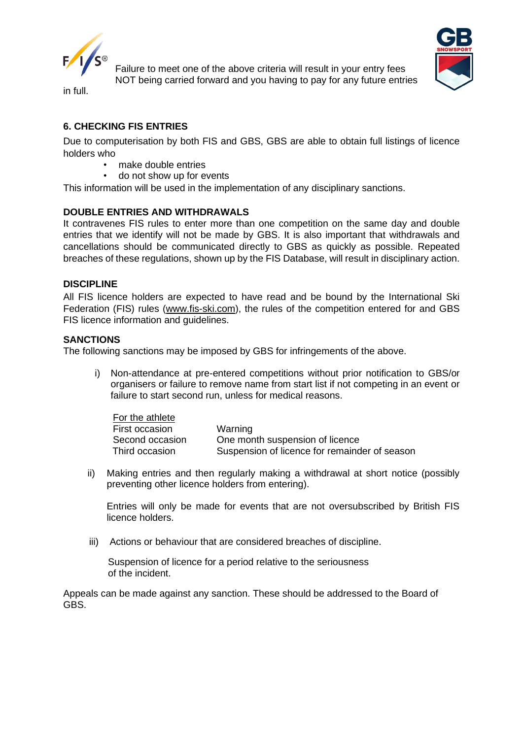

Failure to meet one of the above criteria will result in your entry fees NOT being carried forward and you having to pay for any future entries



in full.

# **6. CHECKING FIS ENTRIES**

Due to computerisation by both FIS and GBS, GBS are able to obtain full listings of licence holders who

- make double entries
- do not show up for events

This information will be used in the implementation of any disciplinary sanctions.

#### **DOUBLE ENTRIES AND WITHDRAWALS**

It contravenes FIS rules to enter more than one competition on the same day and double entries that we identify will not be made by GBS. It is also important that withdrawals and cancellations should be communicated directly to GBS as quickly as possible. Repeated breaches of these regulations, shown up by the FIS Database, will result in disciplinary action.

#### **DISCIPLINE**

All FIS licence holders are expected to have read and be bound by the International Ski Federation (FIS) rules [\(www.fis-ski.com\)](http://www.fis-ski.com/), the rules of the competition entered for and GBS FIS licence information and guidelines.

#### **SANCTIONS**

The following sanctions may be imposed by GBS for infringements of the above.

i) Non-attendance at pre-entered competitions without prior notification to GBS/or organisers or failure to remove name from start list if not competing in an event or failure to start second run, unless for medical reasons.

| For the athlete |                                               |
|-----------------|-----------------------------------------------|
| First occasion  | Warning                                       |
| Second occasion | One month suspension of licence               |
| Third occasion  | Suspension of licence for remainder of season |

ii) Making entries and then regularly making a withdrawal at short notice (possibly preventing other licence holders from entering).

Entries will only be made for events that are not oversubscribed by British FIS licence holders.

iii) Actions or behaviour that are considered breaches of discipline.

Suspension of licence for a period relative to the seriousness of the incident.

Appeals can be made against any sanction. These should be addressed to the Board of GBS.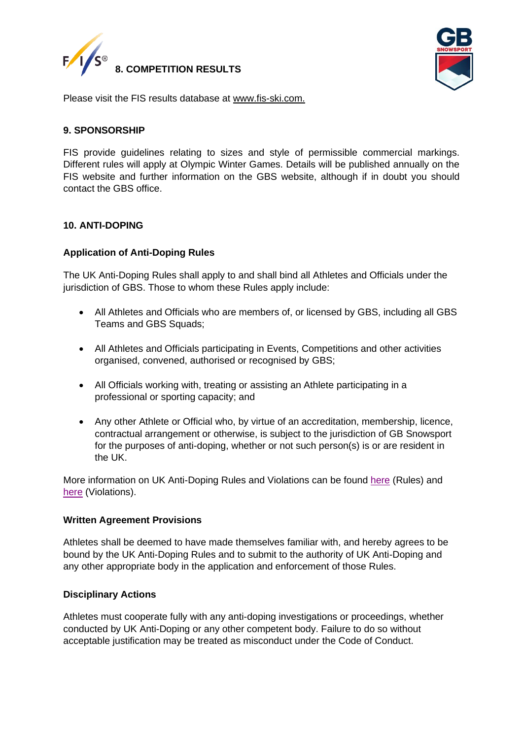



Please visit the FIS results database at [www.fis-ski.com.](http://www.fis-ski.com/)

#### **9. SPONSORSHIP**

FIS provide guidelines relating to sizes and style of permissible commercial markings. Different rules will apply at Olympic Winter Games. Details will be published annually on the FIS website and further information on the GBS website, although if in doubt you should contact the GBS office.

#### **10. ANTI-DOPING**

#### **Application of Anti-Doping Rules**

The UK Anti-Doping Rules shall apply to and shall bind all Athletes and Officials under the jurisdiction of GBS. Those to whom these Rules apply include:

- All Athletes and Officials who are members of, or licensed by GBS, including all GBS Teams and GBS Squads;
- All Athletes and Officials participating in Events, Competitions and other activities organised, convened, authorised or recognised by GBS;
- All Officials working with, treating or assisting an Athlete participating in a professional or sporting capacity; and
- Any other Athlete or Official who, by virtue of an accreditation, membership, licence, contractual arrangement or otherwise, is subject to the jurisdiction of GB Snowsport for the purposes of anti-doping, whether or not such person(s) is or are resident in the UK.

More information on UK Anti-Doping Rules and Violations can be found [here](https://www.ukad.org.uk/about/anti-doping-rules) (Rules) and [here](https://www.ukad.org.uk/sites/default/files/2020-12/UKAD%20ADRV%20infographic%20FINAL_0.pdf) (Violations).

#### **Written Agreement Provisions**

Athletes shall be deemed to have made themselves familiar with, and hereby agrees to be bound by the UK Anti-Doping Rules and to submit to the authority of UK Anti-Doping and any other appropriate body in the application and enforcement of those Rules.

#### **Disciplinary Actions**

Athletes must cooperate fully with any anti-doping investigations or proceedings, whether conducted by UK Anti-Doping or any other competent body. Failure to do so without acceptable justification may be treated as misconduct under the Code of Conduct.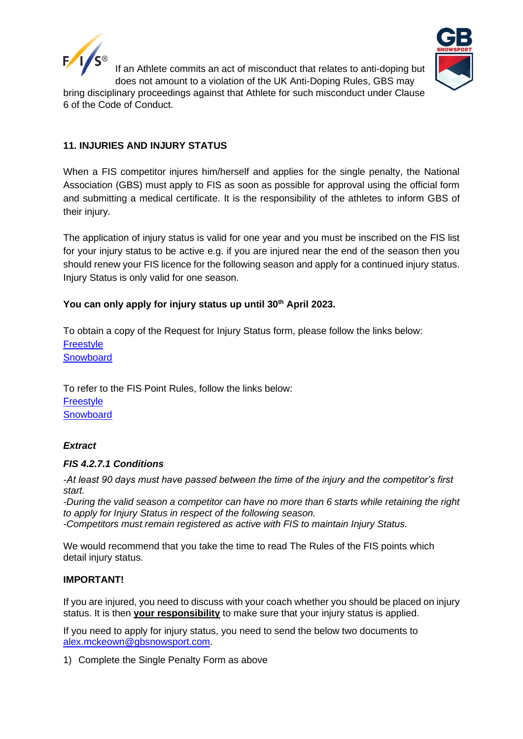



If an Athlete commits an act of misconduct that relates to anti-doping but does not amount to a violation of the UK Anti-Doping Rules, GBS may

bring disciplinary proceedings against that Athlete for such misconduct under Clause 6 of the Code of Conduct.

# **11. INJURIES AND INJURY STATUS**

When a FIS competitor injures him/herself and applies for the single penalty, the National Association (GBS) must apply to FIS as soon as possible for approval using the official form and submitting a medical certificate. It is the responsibility of the athletes to inform GBS of their injury.

The application of injury status is valid for one year and you must be inscribed on the FIS list for your injury status to be active e.g. if you are injured near the end of the season then you should renew your FIS licence for the following season and apply for a continued injury status. Injury Status is only valid for one season.

# **You can only apply for injury status up until 30th April 2023.**

To obtain a copy of the Request for Injury Status form, please follow the links below: [Freestyle](https://assets.fis-ski.com/image/upload/v1536920857/fis-prod/assets/Request_for_Injury_Status_Freestyle_Skiing.pdf) **[Snowboard](https://assets.fis-ski.com/image/upload/v1536923801/fis-prod/assets/Request_for_Injury_Status_Snowboard.pdf)** 

To refer to the FIS Point Rules, follow the links below: **[Freestyle](https://assets.fis-ski.com/image/upload/v1536918917/fis-prod/assets/FIS_Points_Rules_Freestyle_Skiing.pdf) [Snowboard](https://assets.fis-ski.com/image/upload/v1544171788/fis-prod/SB_FIS_Pointsrulebook.pdf)** 

### *Extract*

### *FIS 4.2.7.1 Conditions*

*-At least 90 days must have passed between the time of the injury and the competitor's first start.*

*-During the valid season a competitor can have no more than 6 starts while retaining the right to apply for Injury Status in respect of the following season.*

*-Competitors must remain registered as active with FIS to maintain Injury Status.* 

We would recommend that you take the time to read The Rules of the FIS points which detail injury status.

### **IMPORTANT!**

If you are injured, you need to discuss with your coach whether you should be placed on injury status. It is then **your responsibility** to make sure that your injury status is applied.

If you need to apply for injury status, you need to send the below two documents to [alex.mckeown@gbsnowsport.com.](mailto:alex.mckeown@gbsnowsport.com)

1) Complete the Single Penalty Form as above